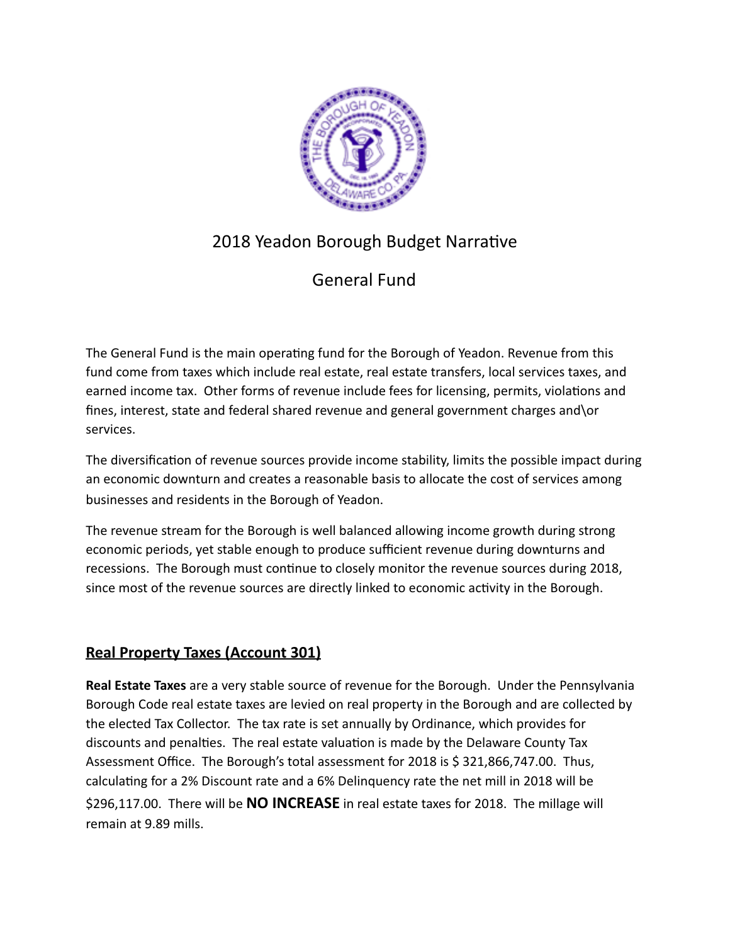

# 2018 Yeadon Borough Budget Narrative

# General Fund

The General Fund is the main operating fund for the Borough of Yeadon. Revenue from this fund come from taxes which include real estate, real estate transfers, local services taxes, and earned income tax. Other forms of revenue include fees for licensing, permits, violations and fines, interest, state and federal shared revenue and general government charges and\or services. 

The diversification of revenue sources provide income stability, limits the possible impact during an economic downturn and creates a reasonable basis to allocate the cost of services among businesses and residents in the Borough of Yeadon. 

The revenue stream for the Borough is well balanced allowing income growth during strong economic periods, yet stable enough to produce sufficient revenue during downturns and recessions. The Borough must continue to closely monitor the revenue sources during 2018, since most of the revenue sources are directly linked to economic activity in the Borough.

## **Real Property Taxes (Account 301)**

**Real Estate Taxes** are a very stable source of revenue for the Borough. Under the Pennsylvania Borough Code real estate taxes are levied on real property in the Borough and are collected by the elected Tax Collector. The tax rate is set annually by Ordinance, which provides for discounts and penalties. The real estate valuation is made by the Delaware County Tax Assessment Office. The Borough's total assessment for 2018 is \$ 321,866,747.00. Thus, calculating for a 2% Discount rate and a 6% Delinquency rate the net mill in 2018 will be \$296,117.00. There will be **NO INCREASE** in real estate taxes for 2018. The millage will remain at 9.89 mills.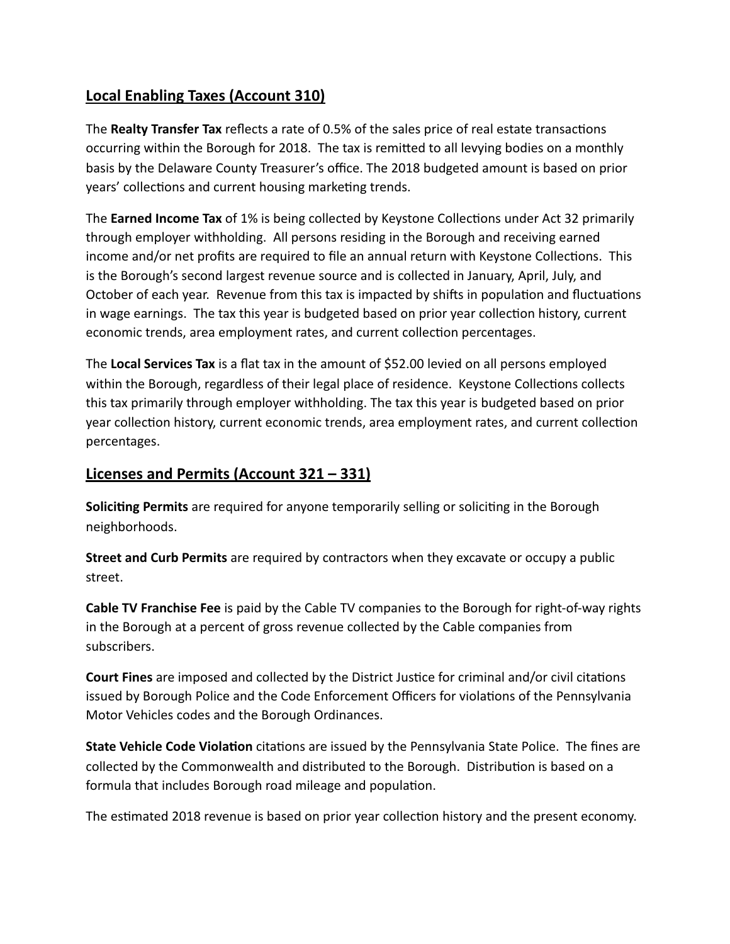### **Local Enabling Taxes (Account 310)**

The **Realty Transfer Tax** reflects a rate of 0.5% of the sales price of real estate transactons occurring within the Borough for 2018. The tax is remited to all levying bodies on a monthly basis by the Delaware County Treasurer's office. The 2018 budgeted amount is based on prior years' collections and current housing marketing trends.

The **Earned Income Tax** of 1% is being collected by Keystone Collectons under Act 32 primarily through employer withholding. All persons residing in the Borough and receiving earned income and/or net profits are required to file an annual return with Keystone Collections. This is the Borough's second largest revenue source and is collected in January, April, July, and October of each year. Revenue from this tax is impacted by shifts in population and fluctuations in wage earnings. The tax this year is budgeted based on prior year collection history, current economic trends, area employment rates, and current collecton percentages.

The **Local Services Tax** is a flat tax in the amount of \$52.00 levied on all persons employed within the Borough, regardless of their legal place of residence. Keystone Collections collects this tax primarily through employer withholding. The tax this year is budgeted based on prior year collection history, current economic trends, area employment rates, and current collection percentages.

### **Licenses and Permits (Account 321 – 331)**

**Solicitng Permits** are required for anyone temporarily selling or solicitng in the Borough neighborhoods. 

**Street and Curb Permits** are required by contractors when they excavate or occupy a public street.

**Cable TV Franchise Fee** is paid by the Cable TV companies to the Borough for right-of-way rights in the Borough at a percent of gross revenue collected by the Cable companies from subscribers.

**Court Fines** are imposed and collected by the District Justice for criminal and/or civil citations issued by Borough Police and the Code Enforcement Officers for violations of the Pennsylvania Motor Vehicles codes and the Borough Ordinances.

**State Vehicle Code Violation** citations are issued by the Pennsylvania State Police. The fines are collected by the Commonwealth and distributed to the Borough. Distribution is based on a formula that includes Borough road mileage and population.

The estmated 2018 revenue is based on prior year collecton history and the present economy.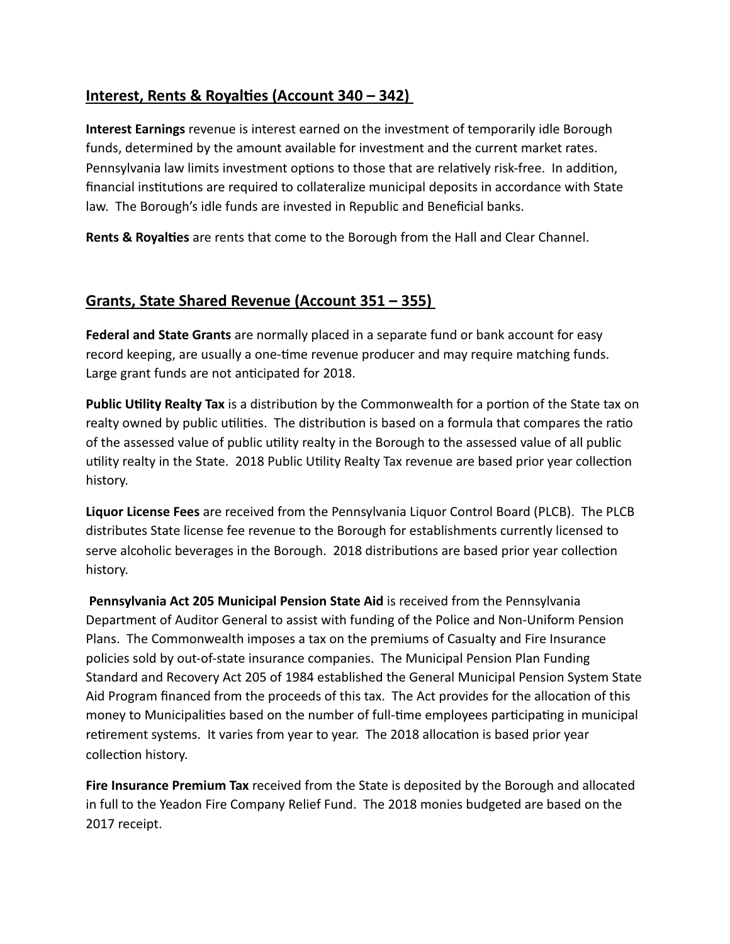### **Interest, Rents & Royaltes (Account 340 – 342)**

**Interest Earnings** revenue is interest earned on the investment of temporarily idle Borough funds, determined by the amount available for investment and the current market rates. Pennsylvania law limits investment options to those that are relatively risk-free. In addition, financial insttutons are required to collateralize municipal deposits in accordance with State law. The Borough's idle funds are invested in Republic and Beneficial banks.

**Rents & Royaltes** are rents that come to the Borough from the Hall and Clear Channel.

### **Grants, State Shared Revenue (Account 351 – 355)**

**Federal and State Grants** are normally placed in a separate fund or bank account for easy record keeping, are usually a one-tme revenue producer and may require matching funds. Large grant funds are not anticipated for 2018.

**Public Utlity Realty Tax** is a distributon by the Commonwealth for a porton of the State tax on realty owned by public utilities. The distribution is based on a formula that compares the ratio of the assessed value of public utlity realty in the Borough to the assessed value of all public utility realty in the State. 2018 Public Utility Realty Tax revenue are based prior year collection history.

**Liquor License Fees** are received from the Pennsylvania Liquor Control Board (PLCB). The PLCB distributes State license fee revenue to the Borough for establishments currently licensed to serve alcoholic beverages in the Borough. 2018 distributions are based prior year collection history.

**Pennsylvania Act 205 Municipal Pension State Aid** is received from the Pennsylvania Department of Auditor General to assist with funding of the Police and Non-Uniform Pension Plans. The Commonwealth imposes a tax on the premiums of Casualty and Fire Insurance policies sold by out-of-state insurance companies. The Municipal Pension Plan Funding Standard and Recovery Act 205 of 1984 established the General Municipal Pension System State Aid Program financed from the proceeds of this tax. The Act provides for the allocation of this money to Municipalities based on the number of full-time employees participating in municipal retirement systems. It varies from year to year. The 2018 allocation is based prior year collection history.

**Fire Insurance Premium Tax** received from the State is deposited by the Borough and allocated in full to the Yeadon Fire Company Relief Fund. The 2018 monies budgeted are based on the 2017 receipt.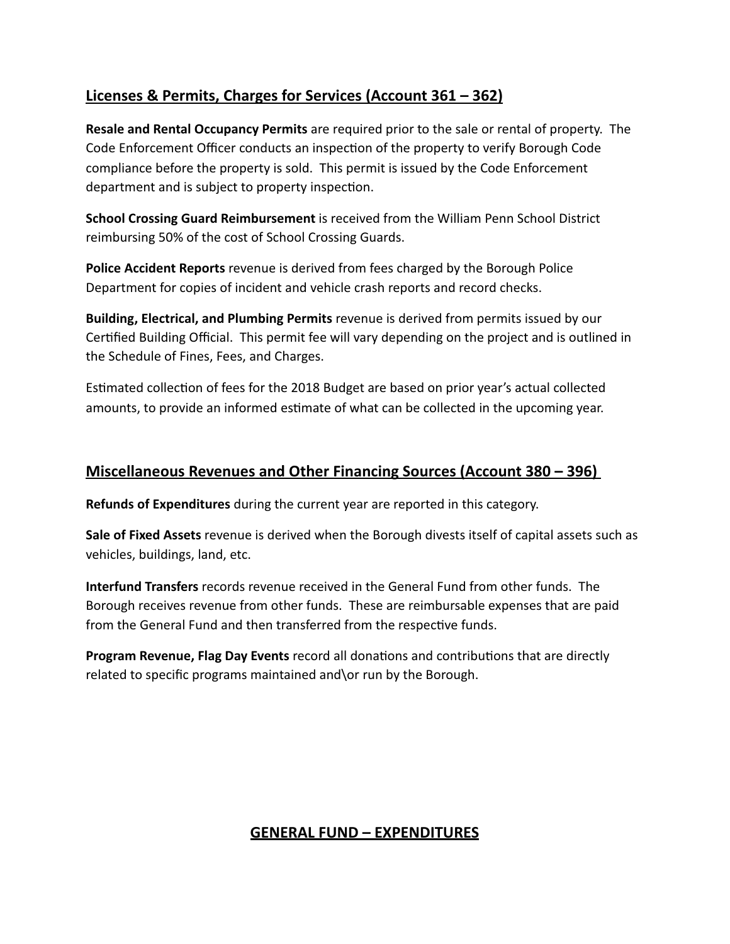### **Licenses & Permits, Charges for Services (Account 361 – 362)**

**Resale and Rental Occupancy Permits** are required prior to the sale or rental of property. The Code Enforcement Officer conducts an inspection of the property to verify Borough Code compliance before the property is sold. This permit is issued by the Code Enforcement department and is subject to property inspection.

**School Crossing Guard Reimbursement** is received from the William Penn School District reimbursing 50% of the cost of School Crossing Guards.

**Police Accident Reports** revenue is derived from fees charged by the Borough Police Department for copies of incident and vehicle crash reports and record checks. 

**Building, Electrical, and Plumbing Permits** revenue is derived from permits issued by our Certified Building Official. This permit fee will vary depending on the project and is outlined in the Schedule of Fines, Fees, and Charges.

Estmated collecton of fees for the 2018 Budget are based on prior year's actual collected amounts, to provide an informed estimate of what can be collected in the upcoming year.

### **Miscellaneous Revenues and Other Financing Sources (Account 380 – 396)**

**Refunds of Expenditures** during the current year are reported in this category.

**Sale of Fixed Assets** revenue is derived when the Borough divests itself of capital assets such as vehicles, buildings, land, etc.

**Interfund Transfers** records revenue received in the General Fund from other funds. The Borough receives revenue from other funds. These are reimbursable expenses that are paid from the General Fund and then transferred from the respective funds.

**Program Revenue, Flag Day Events** record all donations and contributions that are directly related to specific programs maintained and\or run by the Borough.

### **GENERAL FUND – EXPENDITURES**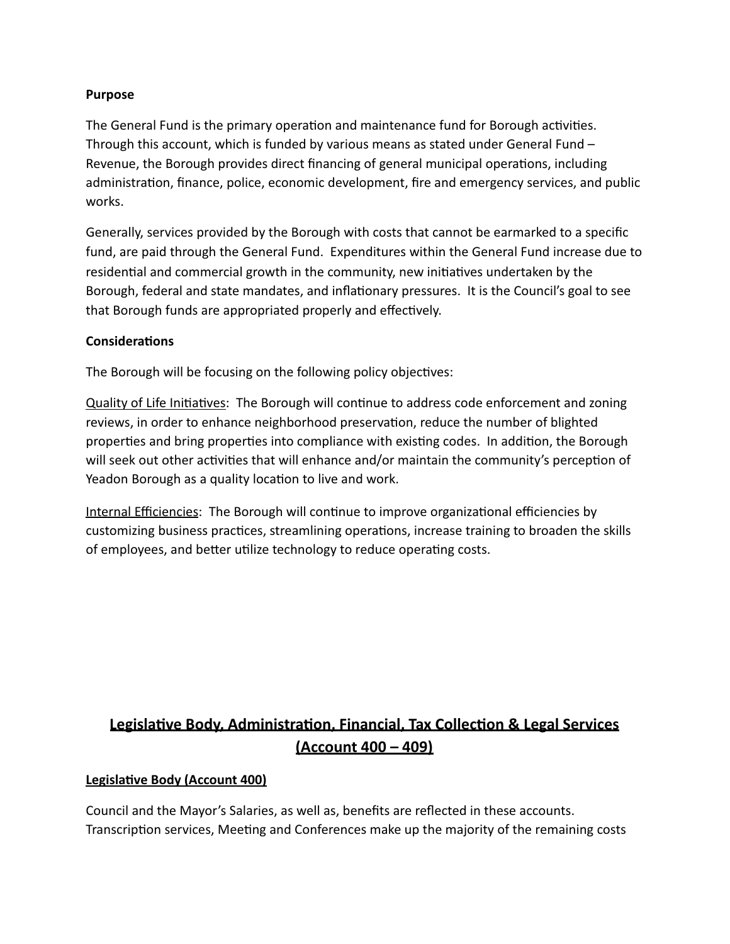#### **Purpose**

The General Fund is the primary operation and maintenance fund for Borough activities. Through this account, which is funded by various means as stated under General Fund – Revenue, the Borough provides direct financing of general municipal operations, including administration, finance, police, economic development, fire and emergency services, and public works.

Generally, services provided by the Borough with costs that cannot be earmarked to a specific fund, are paid through the General Fund. Expenditures within the General Fund increase due to residental and commercial growth in the community, new initatves undertaken by the Borough, federal and state mandates, and inflationary pressures. It is the Council's goal to see that Borough funds are appropriated properly and effectively.

#### **Consideratons**

The Borough will be focusing on the following policy objectives:

Quality of Life Initiatives: The Borough will continue to address code enforcement and zoning reviews, in order to enhance neighborhood preservation, reduce the number of blighted properties and bring properties into compliance with existing codes. In addition, the Borough will seek out other activities that will enhance and/or maintain the community's perception of Yeadon Borough as a quality location to live and work.

Internal Efficiencies: The Borough will continue to improve organizational efficiencies by customizing business practices, streamlining operations, increase training to broaden the skills of employees, and better utilize technology to reduce operating costs.

## **Legislatve Body, Administraton, Financial, Tax Collecton & Legal Services (Account 400 – 409)**

### **Legislatve Body (Account 400)**

Council and the Mayor's Salaries, as well as, benefits are reflected in these accounts. Transcription services, Meeting and Conferences make up the majority of the remaining costs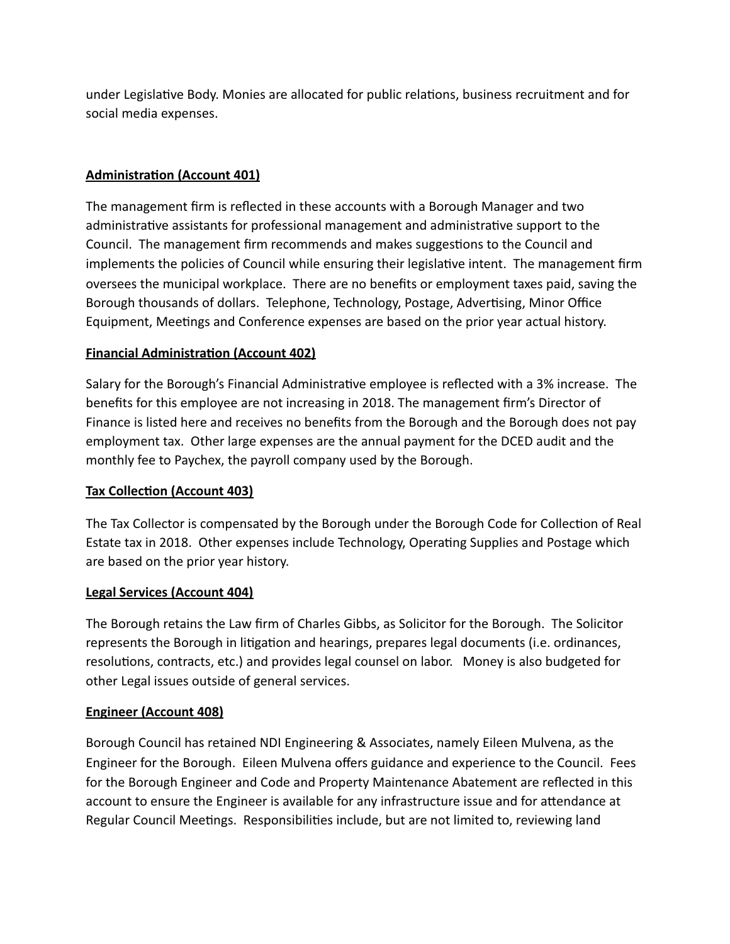under Legislatve Body. Monies are allocated for public relatons, business recruitment and for social media expenses. 

### **Administraton (Account 401)**

The management firm is reflected in these accounts with a Borough Manager and two administratve assistants for professional management and administratve support to the Council. The management firm recommends and makes suggestions to the Council and implements the policies of Council while ensuring their legislative intent. The management firm oversees the municipal workplace. There are no benefits or employment taxes paid, saving the Borough thousands of dollars. Telephone, Technology, Postage, Advertising, Minor Office Equipment, Meetngs and Conference expenses are based on the prior year actual history.

### **Financial Administraton (Account 402)**

Salary for the Borough's Financial Administrative employee is reflected with a 3% increase. The benefits for this employee are not increasing in 2018. The management firm's Director of Finance is listed here and receives no benefits from the Borough and the Borough does not pay employment tax. Other large expenses are the annual payment for the DCED audit and the monthly fee to Paychex, the payroll company used by the Borough.

### **Tax Collecton (Account 403)**

The Tax Collector is compensated by the Borough under the Borough Code for Collection of Real Estate tax in 2018. Other expenses include Technology, Operating Supplies and Postage which are based on the prior year history.

### **Legal Services (Account 404)**

The Borough retains the Law firm of Charles Gibbs, as Solicitor for the Borough. The Solicitor represents the Borough in litigation and hearings, prepares legal documents (i.e. ordinances, resolutions, contracts, etc.) and provides legal counsel on labor. Money is also budgeted for other Legal issues outside of general services.

### **Engineer (Account 408)**

Borough Council has retained NDI Engineering & Associates, namely Eileen Mulvena, as the Engineer for the Borough. Eileen Mulvena offers guidance and experience to the Council. Fees for the Borough Engineer and Code and Property Maintenance Abatement are reflected in this account to ensure the Engineer is available for any infrastructure issue and for atendance at Regular Council Meetings. Responsibilities include, but are not limited to, reviewing land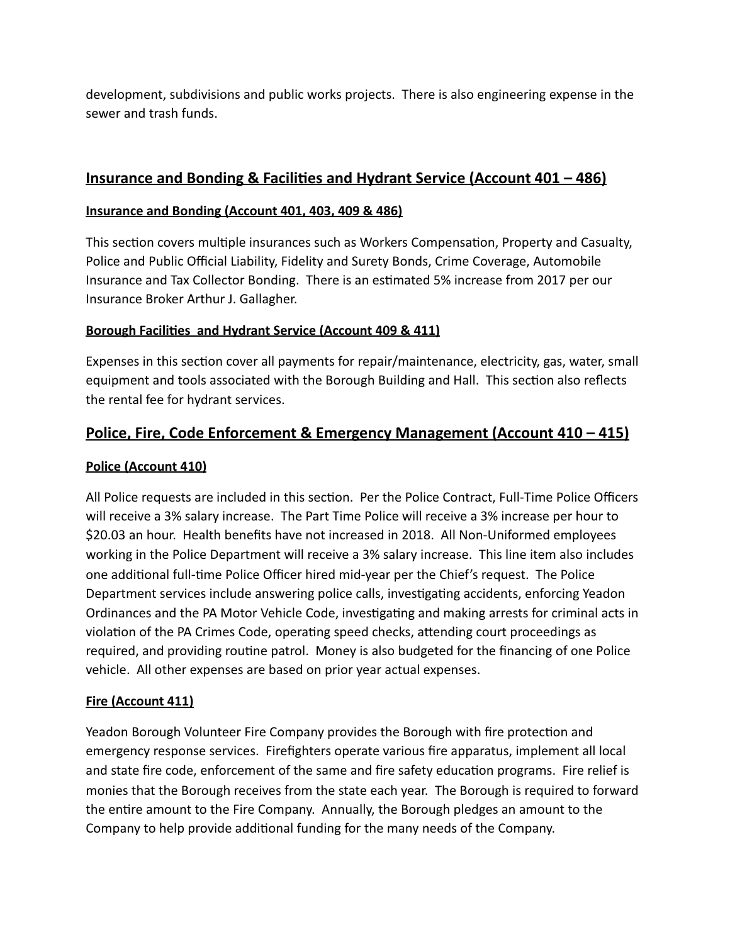development, subdivisions and public works projects. There is also engineering expense in the sewer and trash funds.

### **Insurance and Bonding & Facilites and Hydrant Service (Account 401 – 486)**

### **Insurance and Bonding (Account 401, 403, 409 & 486)**

This section covers multiple insurances such as Workers Compensation, Property and Casualty, Police and Public Official Liability, Fidelity and Surety Bonds, Crime Coverage, Automobile Insurance and Tax Collector Bonding. There is an estimated 5% increase from 2017 per our Insurance Broker Arthur J. Gallagher.

### **Borough Facilites and Hydrant Service (Account 409 & 411)**

Expenses in this section cover all payments for repair/maintenance, electricity, gas, water, small equipment and tools associated with the Borough Building and Hall. This section also reflects the rental fee for hydrant services.

### **Police, Fire, Code Enforcement & Emergency Management (Account 410 – 415)**

#### **Police (Account 410)**

All Police requests are included in this section. Per the Police Contract, Full-Time Police Officers will receive a 3% salary increase. The Part Time Police will receive a 3% increase per hour to \$20.03 an hour. Health benefits have not increased in 2018. All Non-Uniformed employees working in the Police Department will receive a 3% salary increase. This line item also includes one additonal full-tme Police Officer hired mid-year per the Chief's request. The Police Department services include answering police calls, investgatng accidents, enforcing Yeadon Ordinances and the PA Motor Vehicle Code, investgatng and making arrests for criminal acts in violation of the PA Crimes Code, operating speed checks, attending court proceedings as required, and providing routine patrol. Money is also budgeted for the financing of one Police vehicle. All other expenses are based on prior year actual expenses.

### **Fire (Account 411)**

Yeadon Borough Volunteer Fire Company provides the Borough with fire protection and emergency response services. Firefighters operate various fire apparatus, implement all local and state fire code, enforcement of the same and fire safety education programs. Fire relief is monies that the Borough receives from the state each year. The Borough is required to forward the entire amount to the Fire Company. Annually, the Borough pledges an amount to the Company to help provide additonal funding for the many needs of the Company.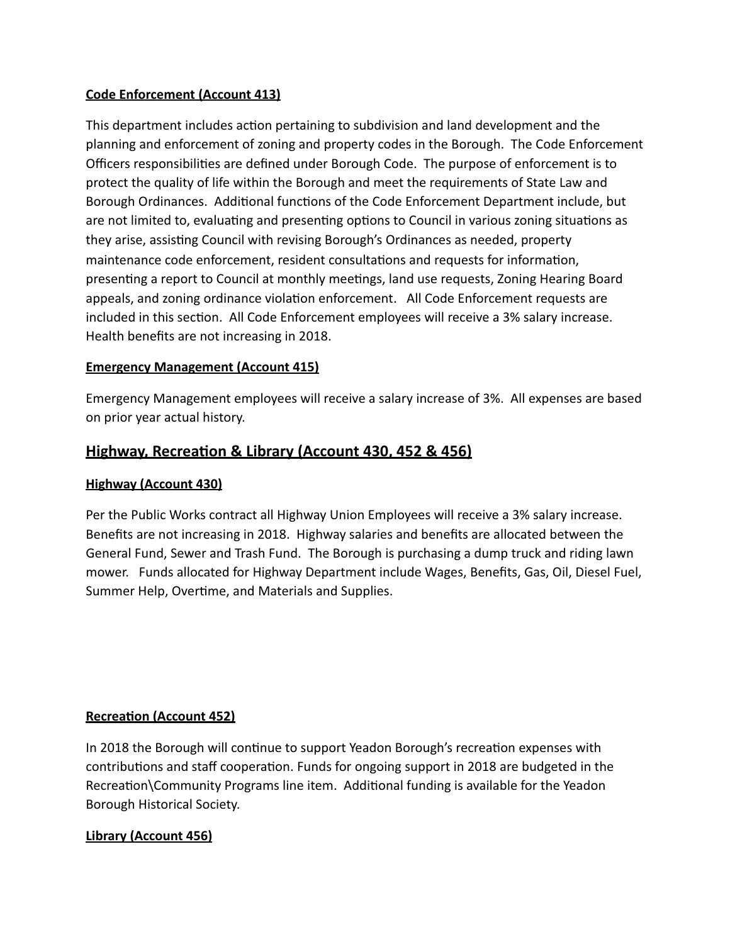#### **Code Enforcement (Account 413)**

This department includes action pertaining to subdivision and land development and the planning and enforcement of zoning and property codes in the Borough. The Code Enforcement Officers responsibilites are defined under Borough Code. The purpose of enforcement is to protect the quality of life within the Borough and meet the requirements of State Law and Borough Ordinances. Additional functions of the Code Enforcement Department include, but are not limited to, evaluating and presenting options to Council in various zoning situations as they arise, assistng Council with revising Borough's Ordinances as needed, property maintenance code enforcement, resident consultatons and requests for informaton, presenting a report to Council at monthly meetings, land use requests, Zoning Hearing Board appeals, and zoning ordinance violation enforcement. All Code Enforcement requests are included in this section. All Code Enforcement employees will receive a 3% salary increase. Health benefits are not increasing in 2018. 

### **Emergency Management (Account 415)**

Emergency Management employees will receive a salary increase of 3%. All expenses are based on prior year actual history.

### **Highway, Recreaton & Library (Account 430, 452 & 456)**

#### **Highway (Account 430)**

Per the Public Works contract all Highway Union Employees will receive a 3% salary increase. Benefits are not increasing in 2018. Highway salaries and benefits are allocated between the General Fund, Sewer and Trash Fund. The Borough is purchasing a dump truck and riding lawn mower. Funds allocated for Highway Department include Wages, Benefits, Gas, Oil, Diesel Fuel, Summer Help, Overtme, and Materials and Supplies.

#### **Recreaton (Account 452)**

In 2018 the Borough will continue to support Yeadon Borough's recreation expenses with contributions and staff cooperation. Funds for ongoing support in 2018 are budgeted in the Recreation\Community Programs line item. Additional funding is available for the Yeadon Borough Historical Society.

### **Library (Account 456)**